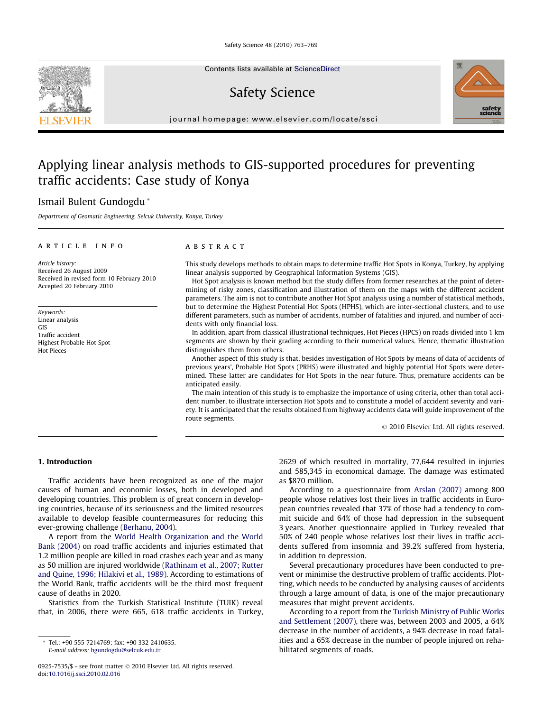Safety Science 48 (2010) 763–769

Contents lists available at [ScienceDirect](http://www.sciencedirect.com/science/journal/09257535)

## Safety Science

journal homepage: [www.elsevier.com/locate/ssci](http://www.elsevier.com/locate/ssci)

### Applying linear analysis methods to GIS-supported procedures for preventing traffic accidents: Case study of Konya

### Ismail Bulent Gundogdu \*

Department of Geomatic Engineering, Selcuk University, Konya, Turkey

#### article info

Article history: Received 26 August 2009 Received in revised form 10 February 2010 Accepted 20 February 2010

Keywords: Linear analysis GIS Traffic accident Highest Probable Hot Spot Hot Pieces

#### ABSTRACT

This study develops methods to obtain maps to determine traffic Hot Spots in Konya, Turkey, by applying linear analysis supported by Geographical Information Systems (GIS).

Hot Spot analysis is known method but the study differs from former researches at the point of determining of risky zones, classification and illustration of them on the maps with the different accident parameters. The aim is not to contribute another Hot Spot analysis using a number of statistical methods, but to determine the Highest Potential Hot Spots (HPHS), which are inter-sectional clusters, and to use different parameters, such as number of accidents, number of fatalities and injured, and number of accidents with only financial loss.

In addition, apart from classical illustrational techniques, Hot Pieces (HPCS) on roads divided into 1 km segments are shown by their grading according to their numerical values. Hence, thematic illustration distinguishes them from others.

Another aspect of this study is that, besides investigation of Hot Spots by means of data of accidents of previous years', Probable Hot Spots (PRHS) were illustrated and highly potential Hot Spots were determined. These latter are candidates for Hot Spots in the near future. Thus, premature accidents can be anticipated easily.

The main intention of this study is to emphasize the importance of using criteria, other than total accident number, to illustrate intersection Hot Spots and to constitute a model of accident severity and variety. It is anticipated that the results obtained from highway accidents data will guide improvement of the route segments.

- 2010 Elsevier Ltd. All rights reserved.

#### 1. Introduction

Traffic accidents have been recognized as one of the major causes of human and economic losses, both in developed and developing countries. This problem is of great concern in developing countries, because of its seriousness and the limited resources available to develop feasible countermeasures for reducing this ever-growing challenge [\(Berhanu, 2004](#page--1-0)).

A report from the [World Health Organization and the World](#page--1-0) [Bank \(2004\)](#page--1-0) on road traffic accidents and injuries estimated that 1.2 million people are killed in road crashes each year and as many as 50 million are injured worldwide [\(Rathinam et al., 2007; Rutter](#page--1-0) [and Quine, 1996; Hilakivi et al., 1989\)](#page--1-0). According to estimations of the World Bank, traffic accidents will be the third most frequent cause of deaths in 2020.

Statistics from the Turkish Statistical Institute (TUIK) reveal that, in 2006, there were 665, 618 traffic accidents in Turkey, 2629 of which resulted in mortality, 77,644 resulted in injuries and 585,345 in economical damage. The damage was estimated as \$870 million.

According to a questionnaire from [Arslan \(2007\)](#page--1-0) among 800 people whose relatives lost their lives in traffic accidents in European countries revealed that 37% of those had a tendency to commit suicide and 64% of those had depression in the subsequent 3 years. Another questionnaire applied in Turkey revealed that 50% of 240 people whose relatives lost their lives in traffic accidents suffered from insomnia and 39.2% suffered from hysteria, in addition to depression.

Several precautionary procedures have been conducted to prevent or minimise the destructive problem of traffic accidents. Plotting, which needs to be conducted by analysing causes of accidents through a large amount of data, is one of the major precautionary measures that might prevent accidents.

According to a report from the [Turkish Ministry of Public Works](#page--1-0) [and Settlement \(2007\)](#page--1-0), there was, between 2003 and 2005, a 64% decrease in the number of accidents, a 94% decrease in road fatalities and a 65% decrease in the number of people injured on rehabilitated segments of roads.





<sup>\*</sup> Tel.: +90 555 7214769; fax: +90 332 2410635. E-mail address: [bgundogdu@selcuk.edu.tr](mailto:bgundogdu@selcuk.edu.tr)

<sup>0925-7535/\$ -</sup> see front matter © 2010 Elsevier Ltd. All rights reserved. doi[:10.1016/j.ssci.2010.02.016](http://dx.doi.org/10.1016/j.ssci.2010.02.016)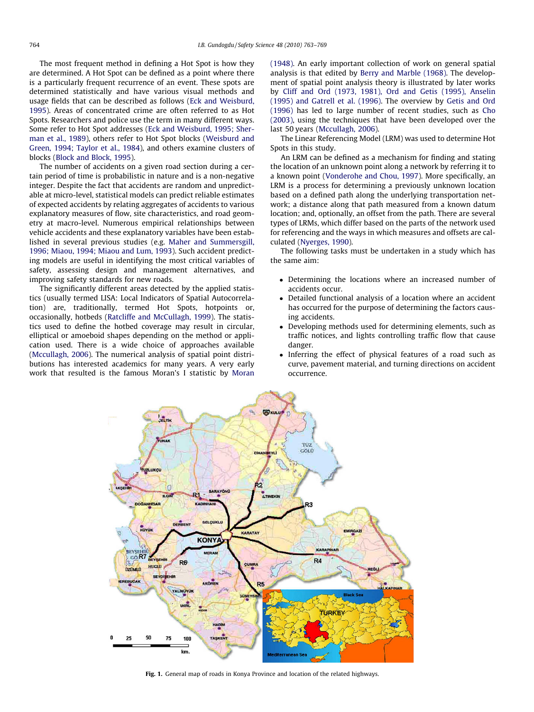The most frequent method in defining a Hot Spot is how they are determined. A Hot Spot can be defined as a point where there is a particularly frequent recurrence of an event. These spots are determined statistically and have various visual methods and usage fields that can be described as follows ([Eck and Weisburd,](#page--1-0) [1995\)](#page--1-0). Areas of concentrated crime are often referred to as Hot Spots. Researchers and police use the term in many different ways. Some refer to Hot Spot addresses [\(Eck and Weisburd, 1995; Sher](#page--1-0)[man et al., 1989\)](#page--1-0), others refer to Hot Spot blocks ([Weisburd and](#page--1-0) [Green, 1994; Taylor et al., 1984\)](#page--1-0), and others examine clusters of blocks [\(Block and Block, 1995](#page--1-0)).

The number of accidents on a given road section during a certain period of time is probabilistic in nature and is a non-negative integer. Despite the fact that accidents are random and unpredictable at micro-level, statistical models can predict reliable estimates of expected accidents by relating aggregates of accidents to various explanatory measures of flow, site characteristics, and road geometry at macro-level. Numerous empirical relationships between vehicle accidents and these explanatory variables have been established in several previous studies (e.g. [Maher and Summersgill,](#page--1-0) [1996; Miaou, 1994; Miaou and Lum, 1993](#page--1-0)). Such accident predicting models are useful in identifying the most critical variables of safety, assessing design and management alternatives, and improving safety standards for new roads.

The significantly different areas detected by the applied statistics (usually termed LISA: Local Indicators of Spatial Autocorrelation) are, traditionally, termed Hot Spots, hotpoints or, occasionally, hotbeds [\(Ratcliffe and McCullagh, 1999](#page--1-0)). The statistics used to define the hotbed coverage may result in circular, elliptical or amoeboid shapes depending on the method or application used. There is a wide choice of approaches available ([Mccullagh, 2006\)](#page--1-0). The numerical analysis of spatial point distributions has interested academics for many years. A very early work that resulted is the famous Moran's I statistic by [Moran](#page--1-0) [\(1948\).](#page--1-0) An early important collection of work on general spatial analysis is that edited by [Berry and Marble \(1968\).](#page--1-0) The development of spatial point analysis theory is illustrated by later works by [Cliff and Ord \(1973, 1981\), Ord and Getis \(1995\), Anselin](#page--1-0) [\(1995\) and Gatrell et al. \(1996\).](#page--1-0) The overview by [Getis and Ord](#page--1-0) [\(1996\)](#page--1-0) has led to large number of recent studies, such as [Cho](#page--1-0) [\(2003\),](#page--1-0) using the techniques that have been developed over the last 50 years ([Mccullagh, 2006](#page--1-0)).

The Linear Referencing Model (LRM) was used to determine Hot Spots in this study.

An LRM can be defined as a mechanism for finding and stating the location of an unknown point along a network by referring it to a known point [\(Vonderohe and Chou, 1997\)](#page--1-0). More specifically, an LRM is a process for determining a previously unknown location based on a defined path along the underlying transportation network; a distance along that path measured from a known datum location; and, optionally, an offset from the path. There are several types of LRMs, which differ based on the parts of the network used for referencing and the ways in which measures and offsets are calculated [\(Nyerges, 1990](#page--1-0)).

The following tasks must be undertaken in a study which has the same aim:

- Determining the locations where an increased number of accidents occur.
- - Detailed functional analysis of a location where an accident has occurred for the purpose of determining the factors causing accidents.
- Developing methods used for determining elements, such as traffic notices, and lights controlling traffic flow that cause danger.
- Inferring the effect of physical features of a road such as curve, pavement material, and turning directions on accident occurrence.



Fig. 1. General map of roads in Konya Province and location of the related highways.